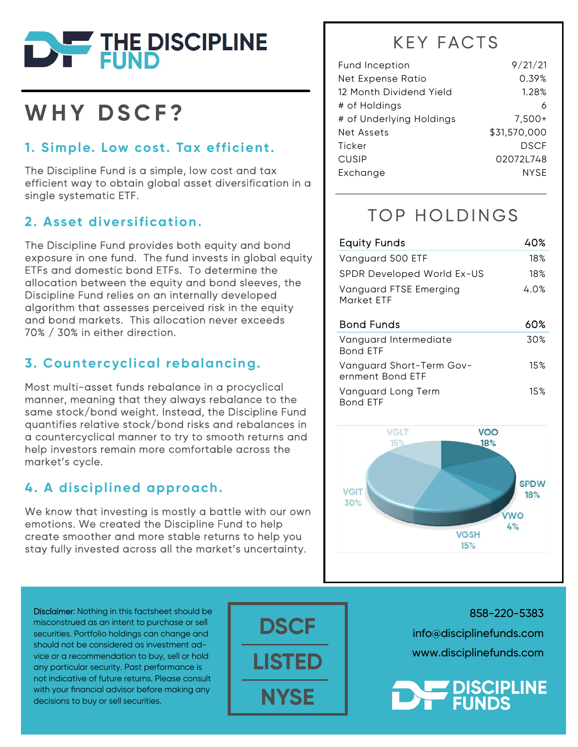

## WHY DSCF?

#### 1. Simple. Low cost. Tax efficient.

The Discipline Fund is a simple, low cost and tax efficient way to obtain global asset diversification in a single systematic ETF.

#### 2. Asset diversification.

The Discipline Fund provides both equity and bond exposure in one fund. The fund invests in global equity ETFs and domestic bond ETFs. To determine the allocation between the equity and bond sleeves, the Discipline Fund relies on an internally developed algorithm that assesses perceived risk in the equity and bond markets. This allocation never exceeds 70% / 30% in either direction.

#### 3. Countercyclical rebalancing.

Most multi-asset funds rebalance in a procyclical manner, meaning that they always rebalance to the same stock/bond weight. Instead, the Discipline Fund quantifies relative stock/bond risks and rebalances in a countercyclical manner to try to smooth returns and help investors remain more comfortable across the market's cycle.

#### 4. A disciplined approach.

We know that investing is mostly a battle with our own emotions. We created the Discipline Fund to help create smoother and more stable returns to help you stay fully invested across all the market's uncertainty.

### **KEY FACTS**

| <b>Fund Inception</b>    | 9/21/21      |
|--------------------------|--------------|
| Net Expense Ratio        | 0.39%        |
| 12 Month Dividend Yield  | 1.28%        |
| # of Holdings            | 6            |
| # of Underlying Holdings | $7,500+$     |
| Net Assets               | \$31,570,000 |
| Ticker                   | <b>DSCF</b>  |
| <b>CUSIP</b>             | 02072L748    |
| Exchange                 | <b>NYSE</b>  |

## TOP HOLDINGS

| <b>Equity Funds</b>                          | 40%  |
|----------------------------------------------|------|
| Vanguard 500 ETF                             | 18%  |
| SPDR Developed World Ex-US                   | 18%  |
| <b>Vanguard FTSE Emerging</b><br>Market FTF  | 4.0% |
| <b>Bond Funds</b>                            | 60%  |
| Vanguard Intermediate<br><b>Bond FTF</b>     | 30%  |
| Vanguard Short-Term Gov-<br>ernment Bond ETF | 15%  |
| Vanguard Long Term                           | 15%  |



Disclaimer: Nothing in this factsheet should be misconstrued as an intent to purchase or sell securities. Portfolio holdings can change and should not be considered as investment advice or a recommendation to buy, sell or hold any particular security. Past performance is not indicative of future returns. Please consult with your financial advisor before making any decisions to buy or sell securities.



858-220-5383 info@disciplinefunds.com www.disciplinefunds.com